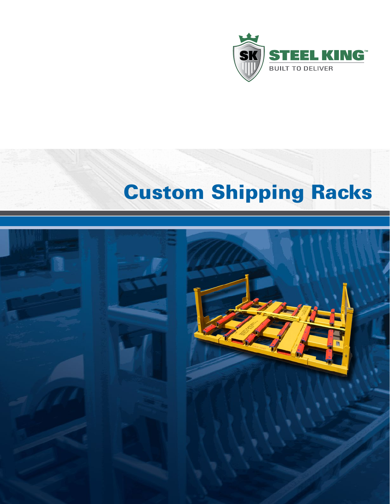

# Custom Shipping Racks

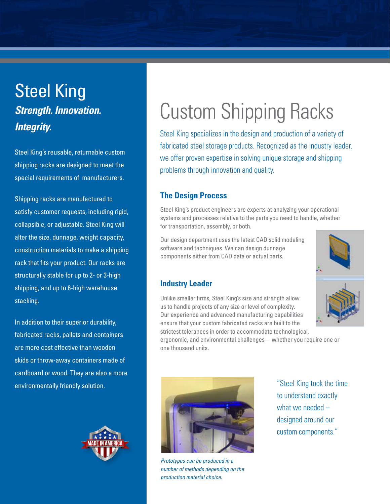# Steel King *Strength. Innovation. Integrity.*

Steel King's reusable, returnable custom shipping racks are designed to meet the special requirements of manufacturers.

Shipping racks are manufactured to satisfy customer requests, including rigid, collapsible, or adjustable. Steel King will alter the size, dunnage, weight capacity, construction materials to make a shipping rack that fits your product. Our racks are structurally stable for up to 2- or 3-high shipping, and up to 6-high warehouse stacking.

In addition to their superior durability, fabricated racks, pallets and containers are more cost effective than wooden skids or throw-away containers made of cardboard or wood. They are also a more environmentally friendly solution.



# Custom Shipping Racks

Steel King specializes in the design and production of a variety of fabricated steel storage products. Recognized as the industry leader, we offer proven expertise in solving unique storage and shipping problems through innovation and quality.

### **The Design Process**

Steel King's product engineers are experts at analyzing your operational systems and processes relative to the parts you need to handle, whether for transportation, assembly, or both.

Our design department uses the latest CAD solid modeling software and techniques. We can design dunnage components either from CAD data or actual parts.

### **Industry Leader**



Unlike smaller firms, Steel King's size and strength allow us to handle projects of any size or level of complexity. Our experience and advanced manufacturing capabilities ensure that your custom fabricated racks are built to the strictest tolerances in order to accommodate technological,

ergonomic, and environmental challenges – whether you require one or one thousand units.



*Prototypes can be produced in a number of methods depending on the production material choice.* 

"Steel King took the time to understand exactly what we needed – designed around our custom components."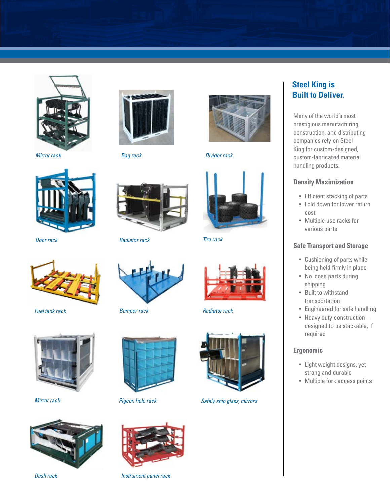

*Mirror rack*





*Bag rack Divider rack*



*Door rack*



*Fuel tank rack*







*Radiator rack*



*Bumper rack*



*Pigeon hole rack*



*Dash rack Instrument panel rack*



*Tire rack*



*Radiator rack*



*Mirror rack Safely ship glass, mirrors*

# **Steel King is Built to Deliver.**

Many of the world's most prestigious manufacturing, construction, and distributing companies rely on Steel King for custom-designed, custom-fabricated material handling products.

#### **Density Maximization**

- Efficient stacking of parts
- Fold down for lower return cost
- Multiple use racks for various parts

#### **Safe Transport and Storage**

- Cushioning of parts while being held firmly in place
- No loose parts during shipping
- Built to withstand transportation
- Engineered for safe handling
- Heavy duty construction designed to be stackable, if required

#### **Ergonomic**

- Light weight designs, yet strong and durable
- Multiple fork access points